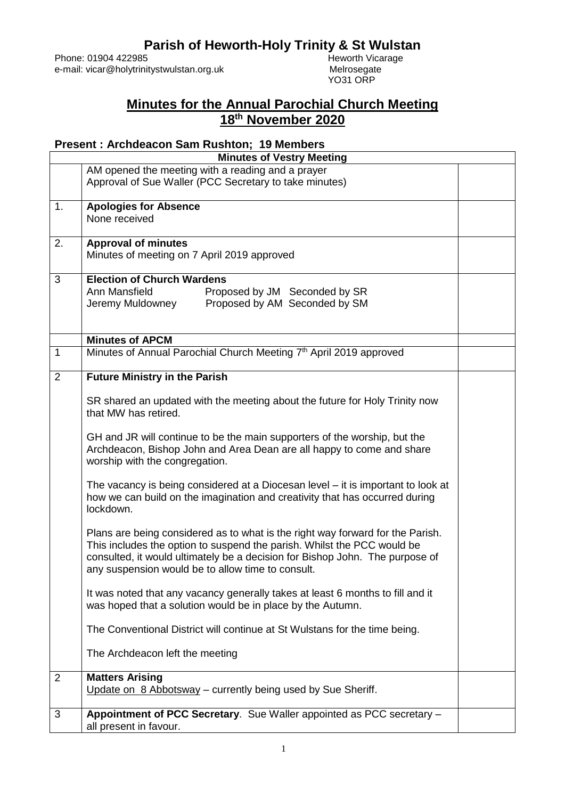## **Parish of Heworth-Holy Trinity & St Wulstan**<br>Heworth Vicarage

Phone: 01904 422985<br>
e-mail: vicar@holytrinitystwulstan.org.uk<br>
Melrosegate e-mail: vicar@holytrinitystwulstan.org.uk

YO31 ORP

## **Minutes for the Annual Parochial Church Meeting 18th November 2020**

## **Present : Archdeacon Sam Rushton; 19 Members**

| <b>Minutes of Vestry Meeting</b> |                                                                                                                                                                                                                                                                                                |  |
|----------------------------------|------------------------------------------------------------------------------------------------------------------------------------------------------------------------------------------------------------------------------------------------------------------------------------------------|--|
|                                  | AM opened the meeting with a reading and a prayer<br>Approval of Sue Waller (PCC Secretary to take minutes)                                                                                                                                                                                    |  |
| 1.                               | <b>Apologies for Absence</b><br>None received                                                                                                                                                                                                                                                  |  |
| 2.                               | <b>Approval of minutes</b><br>Minutes of meeting on 7 April 2019 approved                                                                                                                                                                                                                      |  |
| 3                                | <b>Election of Church Wardens</b><br>Ann Mansfield<br>Proposed by JM Seconded by SR<br>Proposed by AM Seconded by SM<br>Jeremy Muldowney                                                                                                                                                       |  |
|                                  | <b>Minutes of APCM</b>                                                                                                                                                                                                                                                                         |  |
| $\mathbf{1}$                     | Minutes of Annual Parochial Church Meeting 7th April 2019 approved                                                                                                                                                                                                                             |  |
| 2                                | <b>Future Ministry in the Parish</b><br>SR shared an updated with the meeting about the future for Holy Trinity now                                                                                                                                                                            |  |
|                                  | that MW has retired.                                                                                                                                                                                                                                                                           |  |
|                                  | GH and JR will continue to be the main supporters of the worship, but the<br>Archdeacon, Bishop John and Area Dean are all happy to come and share<br>worship with the congregation.                                                                                                           |  |
|                                  | The vacancy is being considered at a Diocesan level – it is important to look at<br>how we can build on the imagination and creativity that has occurred during<br>lockdown.                                                                                                                   |  |
|                                  | Plans are being considered as to what is the right way forward for the Parish.<br>This includes the option to suspend the parish. Whilst the PCC would be<br>consulted, it would ultimately be a decision for Bishop John. The purpose of<br>any suspension would be to allow time to consult. |  |
|                                  | It was noted that any vacancy generally takes at least 6 months to fill and it<br>was hoped that a solution would be in place by the Autumn.                                                                                                                                                   |  |
|                                  | The Conventional District will continue at St Wulstans for the time being.                                                                                                                                                                                                                     |  |
|                                  | The Archdeacon left the meeting                                                                                                                                                                                                                                                                |  |
| $\overline{2}$                   | <b>Matters Arising</b><br>Update on 8 Abbotsway - currently being used by Sue Sheriff.                                                                                                                                                                                                         |  |
| 3                                | Appointment of PCC Secretary. Sue Waller appointed as PCC secretary -<br>all present in favour.                                                                                                                                                                                                |  |